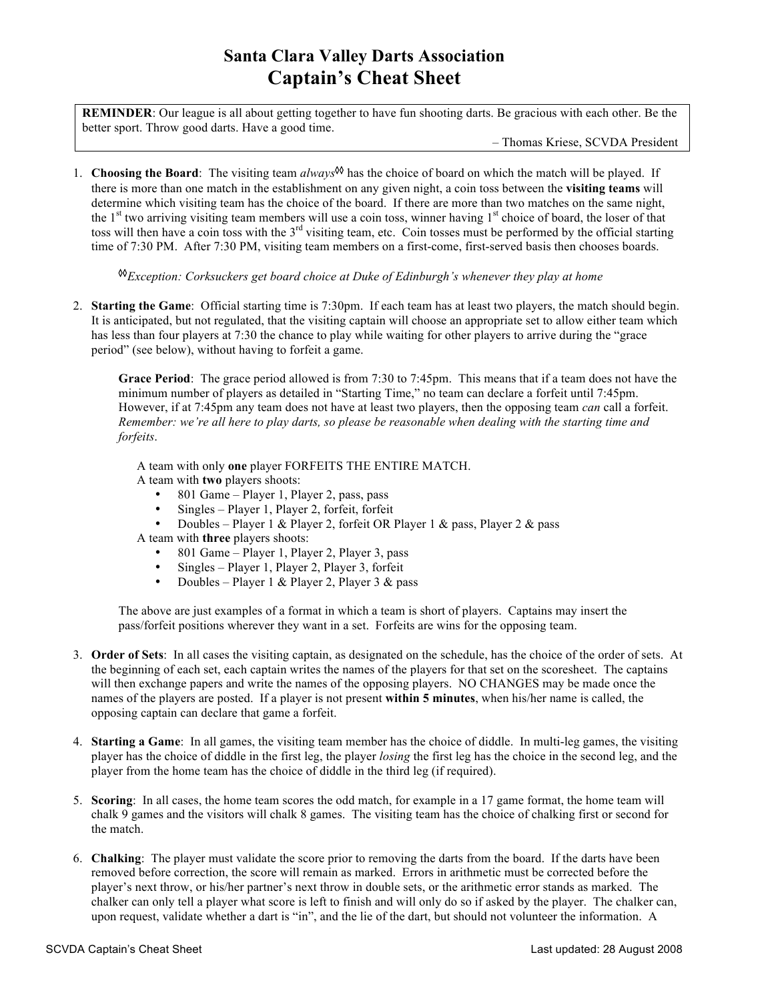## **Santa Clara Valley Darts Association Captain's Cheat Sheet**

**REMINDER**: Our league is all about getting together to have fun shooting darts. Be gracious with each other. Be the better sport. Throw good darts. Have a good time.

– Thomas Kriese, SCVDA President

1. **Choosing the Board**: The visiting team *always* ◊◊ has the choice of board on which the match will be played. If there is more than one match in the establishment on any given night, a coin toss between the **visiting teams** will determine which visiting team has the choice of the board. If there are more than two matches on the same night, the 1<sup>st</sup> two arriving visiting team members will use a coin toss, winner having 1<sup>st</sup> choice of board, the loser of that toss will then have a coin toss with the  $3<sup>rd</sup>$  visiting team, etc. Coin tosses must be performed by the official starting time of 7:30 PM. After 7:30 PM, visiting team members on a first-come, first-served basis then chooses boards.

◊◊ *Exception: Corksuckers get board choice at Duke of Edinburgh's whenever they play at home*

2. **Starting the Game**: Official starting time is 7:30pm. If each team has at least two players, the match should begin. It is anticipated, but not regulated, that the visiting captain will choose an appropriate set to allow either team which has less than four players at 7:30 the chance to play while waiting for other players to arrive during the "grace" period" (see below), without having to forfeit a game.

**Grace Period**: The grace period allowed is from 7:30 to 7:45pm. This means that if a team does not have the minimum number of players as detailed in "Starting Time," no team can declare a forfeit until 7:45pm. However, if at 7:45pm any team does not have at least two players, then the opposing team *can* call a forfeit. Remember: we're all here to play darts, so please be reasonable when dealing with the starting time and *forfeits*.

A team with only **one** player FORFEITS THE ENTIRE MATCH.

- A team with **two** players shoots:
	- 801 Game Player 1, Player 2, pass, pass
	- Singles Player 1, Player 2, forfeit, forfeit
	- Doubles Player 1 & Player 2, forfeit OR Player 1 & pass, Player 2 & pass
- A team with **three** players shoots:
	- 801 Game Player 1, Player 2, Player 3, pass
	- Singles Player 1, Player 2, Player 3, forfeit
	- Doubles Player 1 & Player 2, Player 3 & pass

The above are just examples of a format in which a team is short of players. Captains may insert the pass/forfeit positions wherever they want in a set. Forfeits are wins for the opposing team.

- 3. **Order of Sets**: In all cases the visiting captain, as designated on the schedule, has the choice of the order of sets. At the beginning of each set, each captain writes the names of the players for that set on the scoresheet. The captains will then exchange papers and write the names of the opposing players. NO CHANGES may be made once the names of the players are posted. If a player is not present **within 5 minutes**, when his/her name is called, the opposing captain can declare that game a forfeit.
- 4. **Starting a Game**: In all games, the visiting team member has the choice of diddle. In multi-leg games, the visiting player has the choice of diddle in the first leg, the player *losing* the first leg has the choice in the second leg, and the player from the home team has the choice of diddle in the third leg (if required).
- 5. **Scoring**: In all cases, the home team scores the odd match, for example in a 17 game format, the home team will chalk 9 games and the visitors will chalk 8 games. The visiting team has the choice of chalking first or second for the match.
- 6. **Chalking**: The player must validate the score prior to removing the darts from the board. If the darts have been removed before correction, the score will remain as marked. Errors in arithmetic must be corrected before the player's next throw, or his/her partner's next throw in double sets, or the arithmetic error stands as marked. The chalker can only tell a player what score is left to finish and will only do so if asked by the player. The chalker can, upon request, validate whether a dart is "in", and the lie of the dart, but should not volunteer the information. A